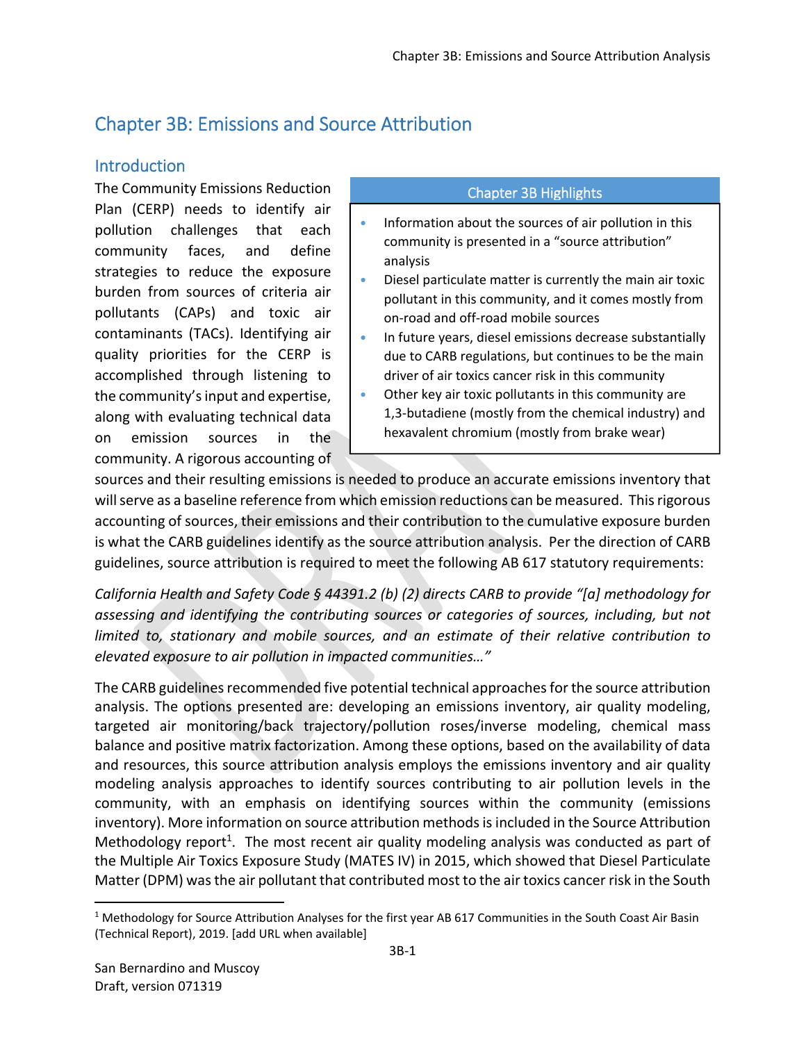# Chapter 3B: Emissions and Source Attribution

# **Introduction**

The Community Emissions Reduction Plan (CERP) needs to identify air pollution challenges that each community faces, and define strategies to reduce the exposure burden from sources of criteria air pollutants (CAPs) and toxic air contaminants (TACs). Identifying air quality priorities for the CERP is accomplished through listening to the community's input and expertise, along with evaluating technical data on emission sources in the community. A rigorous accounting of

### Chapter 3B Highlights

- Information about the sources of air pollution in this community is presented in a "source attribution" analysis
- Diesel particulate matter is currently the main air toxic pollutant in this community, and it comes mostly from on‐road and off‐road mobile sources
- In future years, diesel emissions decrease substantially due to CARB regulations, but continues to be the main driver of air toxics cancer risk in this community
- Other key air toxic pollutants in this community are 1,3‐butadiene (mostly from the chemical industry) and hexavalent chromium (mostly from brake wear)

sources and their resulting emissions is needed to produce an accurate emissions inventory that will serve as a baseline reference from which emission reductions can be measured. This rigorous accounting of sources, their emissions and their contribution to the cumulative exposure burden is what the CARB guidelines identify as the source attribution analysis. Per the direction of CARB guidelines, source attribution is required to meet the following AB 617 statutory requirements:

*California Health and Safety Code § 44391.2 (b) (2) directs CARB to provide "[a] methodology for assessing and identifying the contributing sources or categories of sources, including, but not limited to, stationary and mobile sources, and an estimate of their relative contribution to elevated exposure to air pollution in impacted communities…"* 

The CARB guidelines recommended five potential technical approaches for the source attribution analysis. The options presented are: developing an emissions inventory, air quality modeling, targeted air monitoring/back trajectory/pollution roses/inverse modeling, chemical mass balance and positive matrix factorization. Among these options, based on the availability of data and resources, this source attribution analysis employs the emissions inventory and air quality modeling analysis approaches to identify sources contributing to air pollution levels in the community, with an emphasis on identifying sources within the community (emissions inventory). More information on source attribution methods is included in the Source Attribution Methodology report<sup>1</sup>. The most recent air quality modeling analysis was conducted as part of the Multiple Air Toxics Exposure Study (MATES IV) in 2015, which showed that Diesel Particulate Matter (DPM) was the air pollutant that contributed most to the air toxics cancer risk in the South

<sup>&</sup>lt;sup>1</sup> Methodology for Source Attribution Analyses for the first year AB 617 Communities in the South Coast Air Basin (Technical Report), 2019. [add URL when available]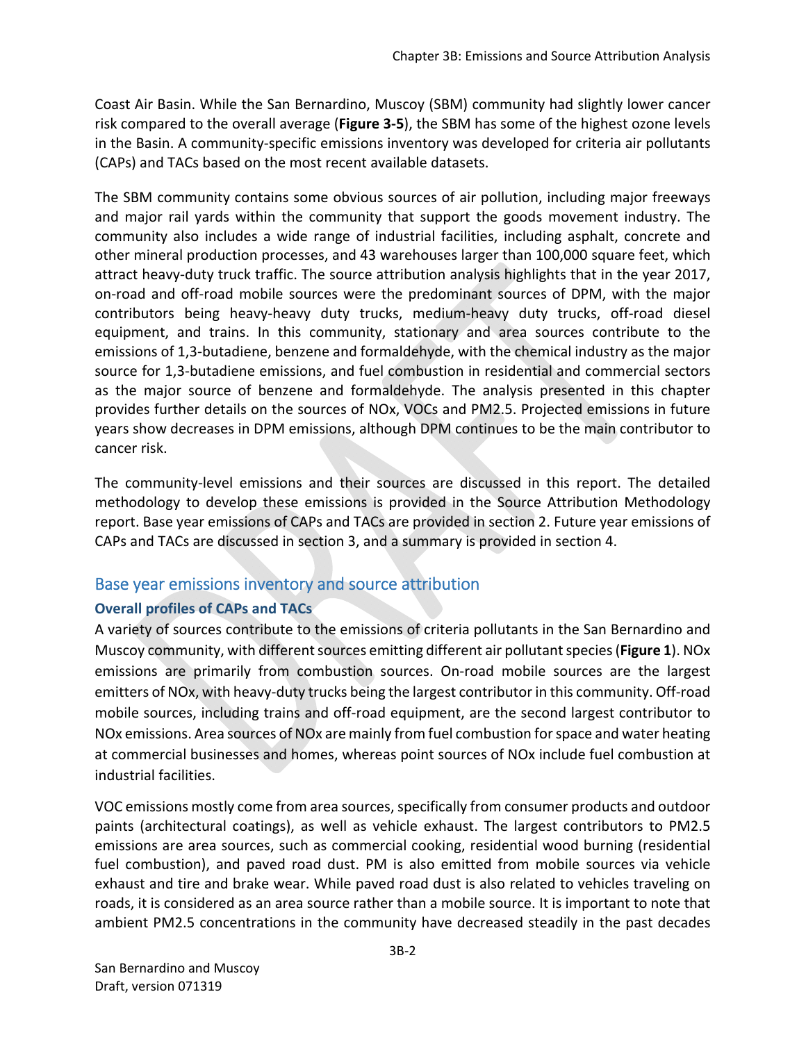Coast Air Basin. While the San Bernardino, Muscoy (SBM) community had slightly lower cancer risk compared to the overall average (**Figure 3‐5**), the SBM has some of the highest ozone levels in the Basin. A community‐specific emissions inventory was developed for criteria air pollutants (CAPs) and TACs based on the most recent available datasets.

The SBM community contains some obvious sources of air pollution, including major freeways and major rail yards within the community that support the goods movement industry. The community also includes a wide range of industrial facilities, including asphalt, concrete and other mineral production processes, and 43 warehouses larger than 100,000 square feet, which attract heavy-duty truck traffic. The source attribution analysis highlights that in the year 2017, on‐road and off‐road mobile sources were the predominant sources of DPM, with the major contributors being heavy‐heavy duty trucks, medium‐heavy duty trucks, off‐road diesel equipment, and trains. In this community, stationary and area sources contribute to the emissions of 1,3‐butadiene, benzene and formaldehyde, with the chemical industry as the major source for 1,3‐butadiene emissions, and fuel combustion in residential and commercial sectors as the major source of benzene and formaldehyde. The analysis presented in this chapter provides further details on the sources of NOx, VOCs and PM2.5. Projected emissions in future years show decreases in DPM emissions, although DPM continues to be the main contributor to cancer risk.

The community-level emissions and their sources are discussed in this report. The detailed methodology to develop these emissions is provided in the Source Attribution Methodology report. Base year emissions of CAPs and TACs are provided in section 2. Future year emissions of CAPs and TACs are discussed in section 3, and a summary is provided in section 4.

# Base year emissions inventory and source attribution

# **Overall profiles of CAPs and TACs**

A variety of sources contribute to the emissions of criteria pollutants in the San Bernardino and Muscoy community, with different sources emitting different air pollutant species (**Figure 1**). NOx emissions are primarily from combustion sources. On-road mobile sources are the largest emitters of NOx, with heavy-duty trucks being the largest contributor in this community. Off-road mobile sources, including trains and off‐road equipment, are the second largest contributor to NOx emissions. Area sources of NOx are mainly from fuel combustion for space and water heating at commercial businesses and homes, whereas point sources of NOx include fuel combustion at industrial facilities.

VOC emissions mostly come from area sources, specifically from consumer products and outdoor paints (architectural coatings), as well as vehicle exhaust. The largest contributors to PM2.5 emissions are area sources, such as commercial cooking, residential wood burning (residential fuel combustion), and paved road dust. PM is also emitted from mobile sources via vehicle exhaust and tire and brake wear. While paved road dust is also related to vehicles traveling on roads, it is considered as an area source rather than a mobile source. It is important to note that ambient PM2.5 concentrations in the community have decreased steadily in the past decades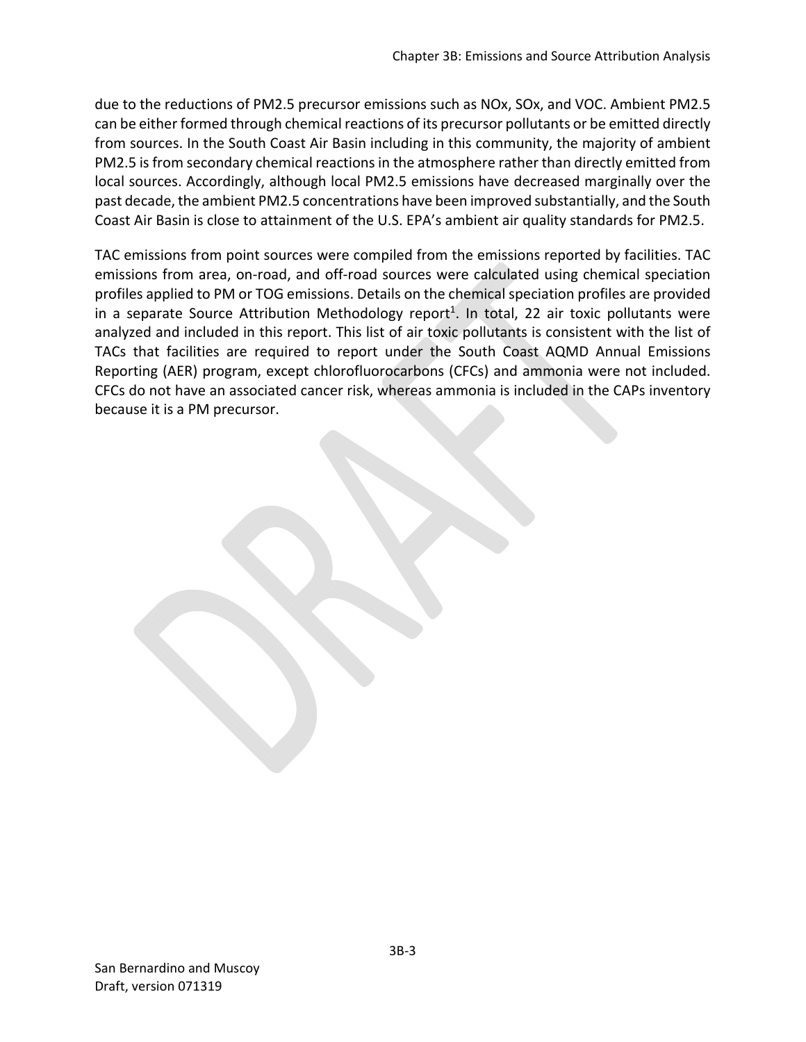due to the reductions of PM2.5 precursor emissions such as NOx, SOx, and VOC. Ambient PM2.5 can be either formed through chemical reactions of its precursor pollutants or be emitted directly from sources. In the South Coast Air Basin including in this community, the majority of ambient PM2.5 is from secondary chemical reactions in the atmosphere rather than directly emitted from local sources. Accordingly, although local PM2.5 emissions have decreased marginally over the past decade, the ambient PM2.5 concentrations have been improved substantially, and the South Coast Air Basin is close to attainment of the U.S. EPA's ambient air quality standards for PM2.5.

TAC emissions from point sources were compiled from the emissions reported by facilities. TAC emissions from area, on-road, and off-road sources were calculated using chemical speciation profiles applied to PM or TOG emissions. Details on the chemical speciation profiles are provided in a separate Source Attribution Methodology report<sup>1</sup>. In total, 22 air toxic pollutants were analyzed and included in this report. This list of air toxic pollutants is consistent with the list of TACs that facilities are required to report under the South Coast AQMD Annual Emissions Reporting (AER) program, except chlorofluorocarbons (CFCs) and ammonia were not included. CFCs do not have an associated cancer risk, whereas ammonia is included in the CAPs inventory because it is a PM precursor.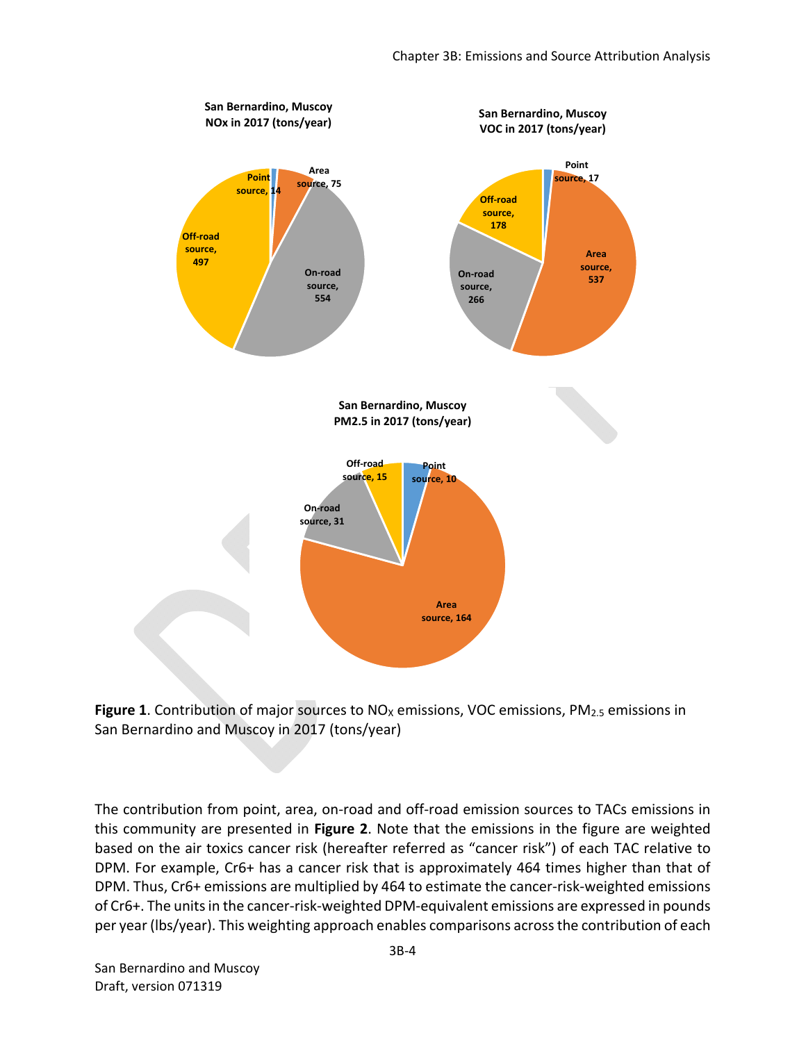



The contribution from point, area, on-road and off-road emission sources to TACs emissions in this community are presented in **Figure 2**. Note that the emissions in the figure are weighted based on the air toxics cancer risk (hereafter referred as "cancer risk") of each TAC relative to DPM. For example, Cr6+ has a cancer risk that is approximately 464 times higher than that of DPM. Thus, Cr6+ emissions are multiplied by 464 to estimate the cancer-risk-weighted emissions of Cr6+. The units in the cancer‐risk‐weighted DPM‐equivalent emissions are expressed in pounds per year (lbs/year). This weighting approach enables comparisons across the contribution of each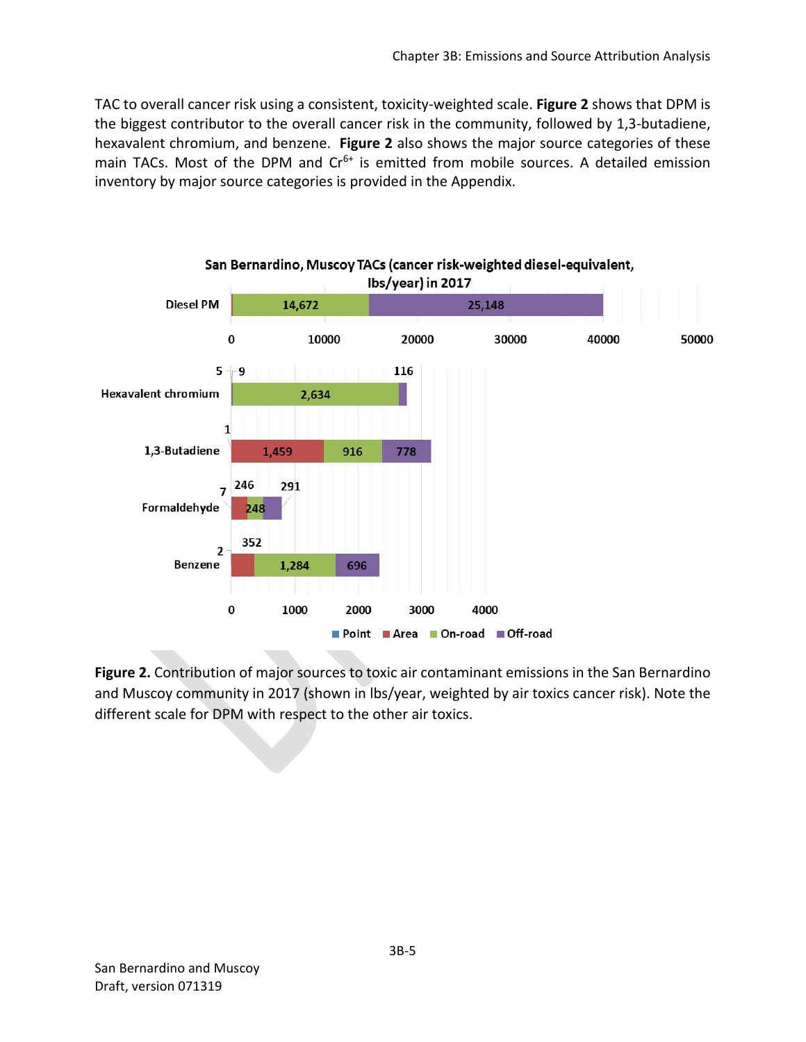TAC to overall cancer risk using a consistent, toxicity‐weighted scale. **Figure 2** shows that DPM is the biggest contributor to the overall cancer risk in the community, followed by 1,3‐butadiene, hexavalent chromium, and benzene. **Figure 2** also shows the major source categories of these main TACs. Most of the DPM and  $Cr<sup>6+</sup>$  is emitted from mobile sources. A detailed emission inventory by major source categories is provided in the Appendix.



**Figure 2.** Contribution of major sources to toxic air contaminant emissions in the San Bernardino and Muscoy community in 2017 (shown in lbs/year, weighted by air toxics cancer risk). Note the different scale for DPM with respect to the other air toxics.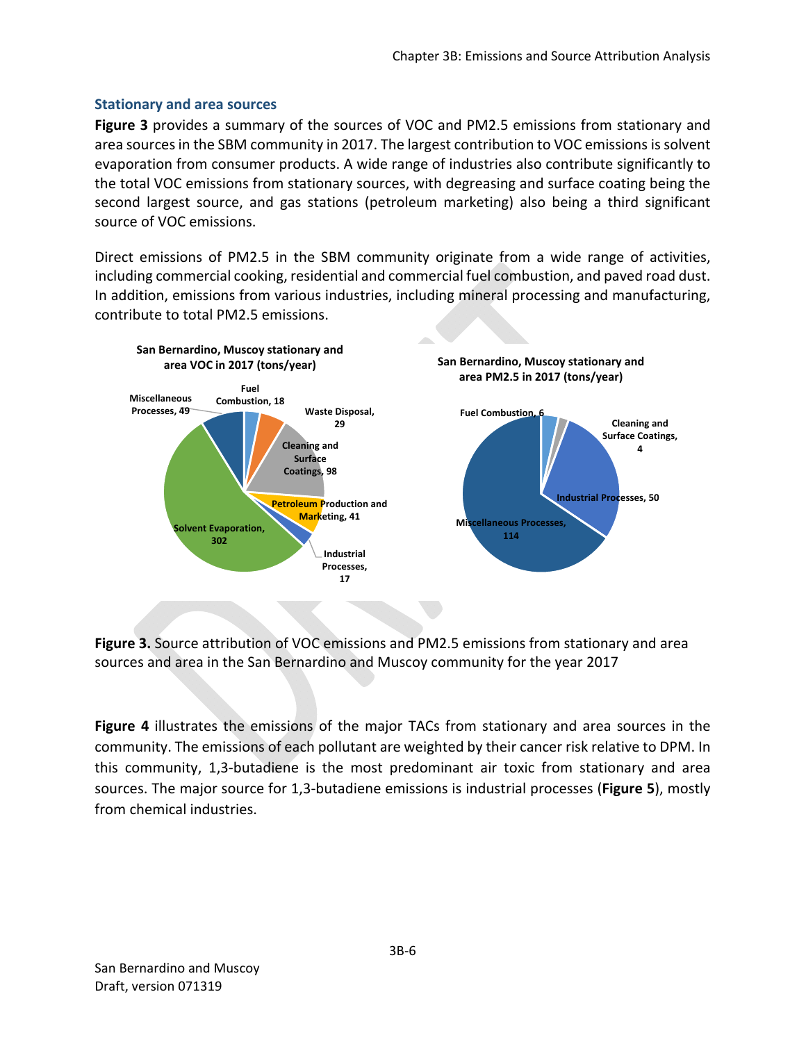### **Stationary and area sources**

**Figure 3** provides a summary of the sources of VOC and PM2.5 emissions from stationary and area sources in the SBM community in 2017. The largest contribution to VOC emissions is solvent evaporation from consumer products. A wide range of industries also contribute significantly to the total VOC emissions from stationary sources, with degreasing and surface coating being the second largest source, and gas stations (petroleum marketing) also being a third significant source of VOC emissions.

Direct emissions of PM2.5 in the SBM community originate from a wide range of activities, including commercial cooking, residential and commercial fuel combustion, and paved road dust. In addition, emissions from various industries, including mineral processing and manufacturing, contribute to total PM2.5 emissions.



**Figure 3.** Source attribution of VOC emissions and PM2.5 emissions from stationary and area sources and area in the San Bernardino and Muscoy community for the year 2017

**Figure 4** illustrates the emissions of the major TACs from stationary and area sources in the community. The emissions of each pollutant are weighted by their cancer risk relative to DPM. In this community, 1,3‐butadiene is the most predominant air toxic from stationary and area sources. The major source for 1,3‐butadiene emissions is industrial processes (**Figure 5**), mostly from chemical industries.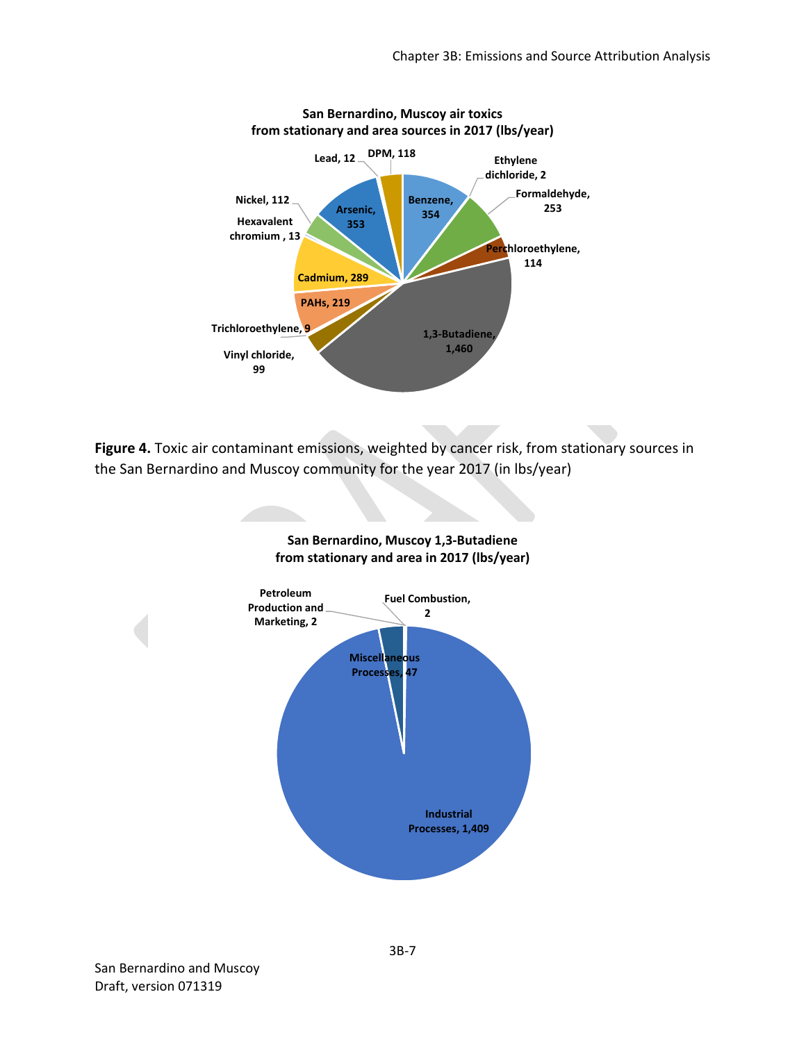

**Figure 4.** Toxic air contaminant emissions, weighted by cancer risk, from stationary sources in the San Bernardino and Muscoy community for the year 2017 (in lbs/year)

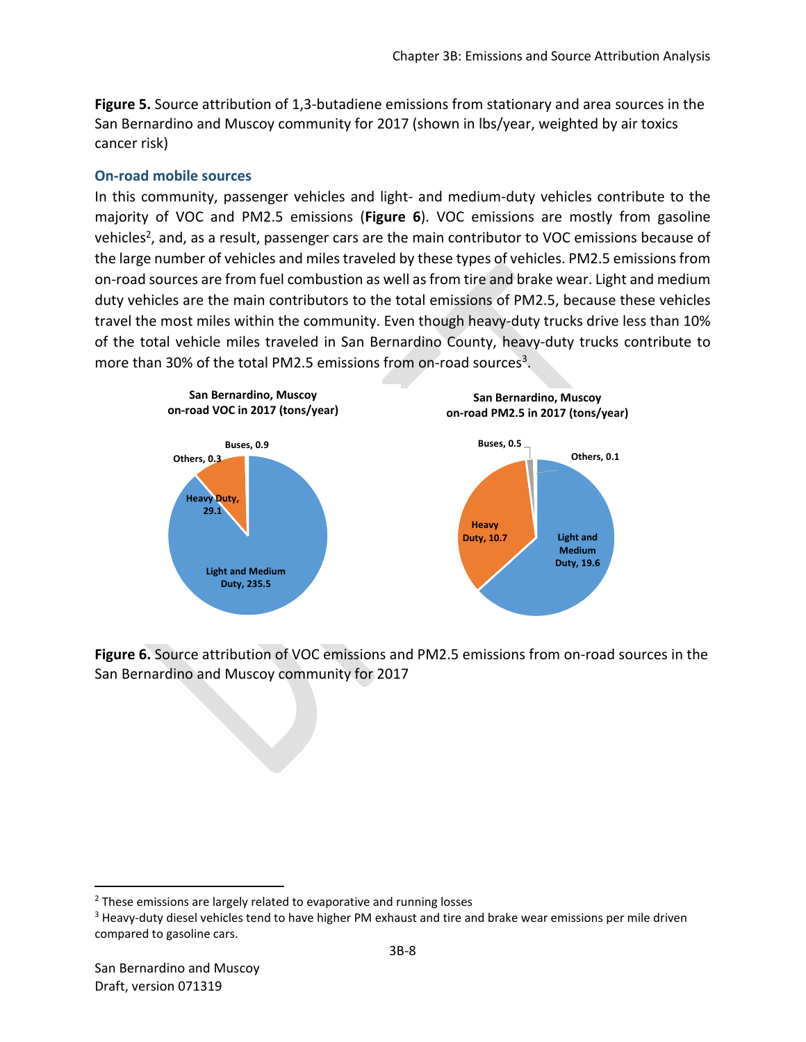**Figure 5.** Source attribution of 1,3‐butadiene emissions from stationary and area sources in the San Bernardino and Muscoy community for 2017 (shown in lbs/year, weighted by air toxics cancer risk)

### **On‐road mobile sources**

In this community, passenger vehicles and light- and medium-duty vehicles contribute to the majority of VOC and PM2.5 emissions (**Figure 6**). VOC emissions are mostly from gasoline vehicles<sup>2</sup>, and, as a result, passenger cars are the main contributor to VOC emissions because of the large number of vehicles and miles traveled by these types of vehicles. PM2.5 emissions from on‐road sources are from fuel combustion as well as from tire and brake wear. Light and medium duty vehicles are the main contributors to the total emissions of PM2.5, because these vehicles travel the most miles within the community. Even though heavy-duty trucks drive less than 10% of the total vehicle miles traveled in San Bernardino County, heavy‐duty trucks contribute to more than 30% of the total PM2.5 emissions from on-road sources<sup>3</sup>.



Figure 6. Source attribution of VOC emissions and PM2.5 emissions from on-road sources in the San Bernardino and Muscoy community for 2017

<sup>&</sup>lt;sup>2</sup> These emissions are largely related to evaporative and running losses

<sup>&</sup>lt;sup>3</sup> Heavy-duty diesel vehicles tend to have higher PM exhaust and tire and brake wear emissions per mile driven compared to gasoline cars.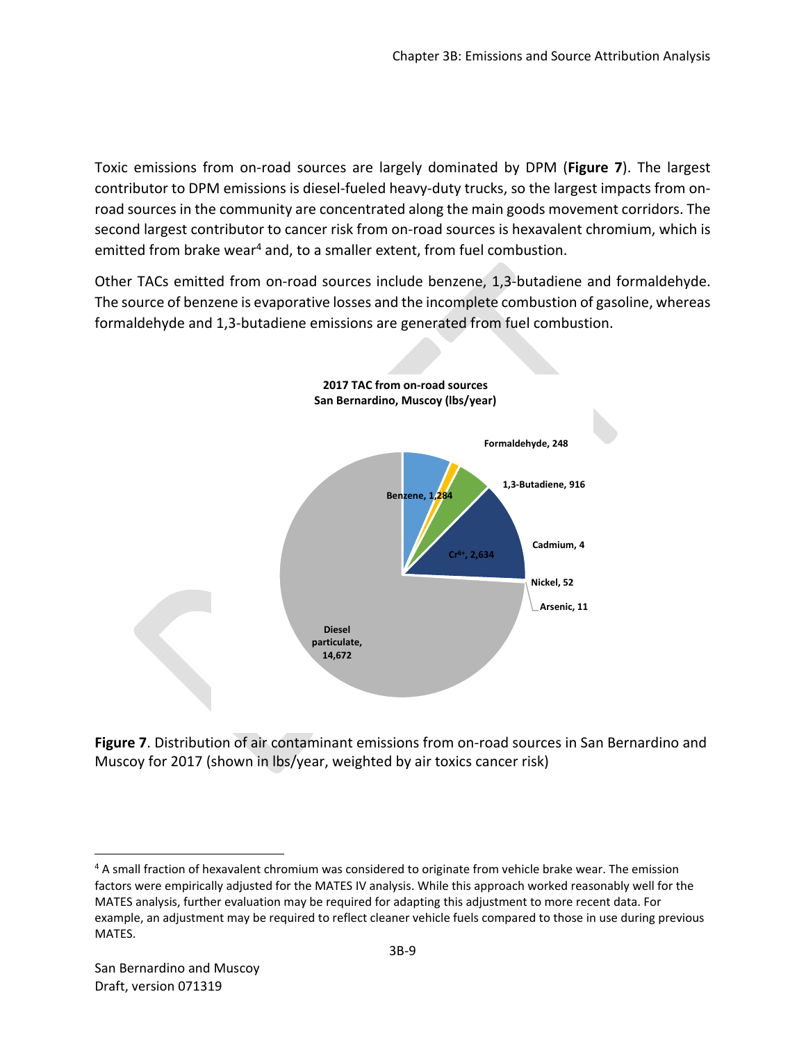Toxic emissions from on‐road sources are largely dominated by DPM (**Figure 7**). The largest contributor to DPM emissions is diesel-fueled heavy-duty trucks, so the largest impacts from onroad sources in the community are concentrated along the main goods movement corridors. The second largest contributor to cancer risk from on-road sources is hexavalent chromium, which is emitted from brake wear<sup>4</sup> and, to a smaller extent, from fuel combustion.

Other TACs emitted from on-road sources include benzene, 1,3-butadiene and formaldehyde. The source of benzene is evaporative losses and the incomplete combustion of gasoline, whereas formaldehyde and 1,3‐butadiene emissions are generated from fuel combustion.



**Figure 7**. Distribution of air contaminant emissions from on‐road sources in San Bernardino and Muscoy for 2017 (shown in lbs/year, weighted by air toxics cancer risk)

<sup>&</sup>lt;sup>4</sup> A small fraction of hexavalent chromium was considered to originate from vehicle brake wear. The emission factors were empirically adjusted for the MATES IV analysis. While this approach worked reasonably well for the MATES analysis, further evaluation may be required for adapting this adjustment to more recent data. For example, an adjustment may be required to reflect cleaner vehicle fuels compared to those in use during previous MATES.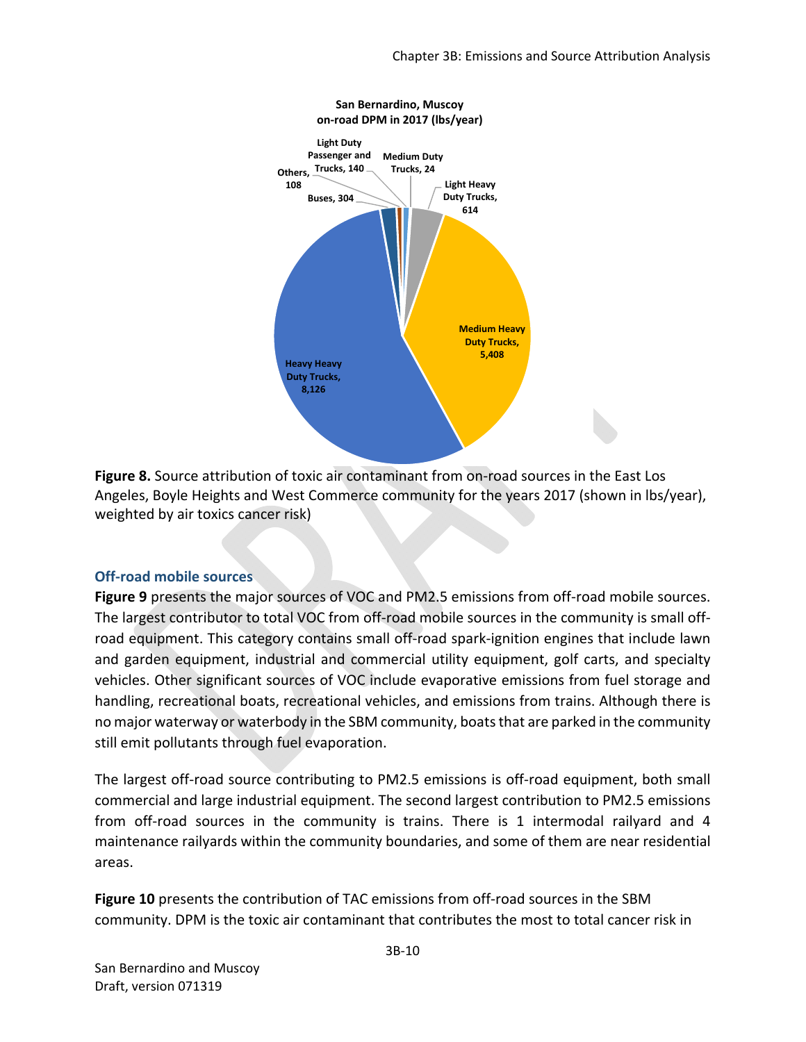

**Figure 8.** Source attribution of toxic air contaminant from on‐road sources in the East Los Angeles, Boyle Heights and West Commerce community for the years 2017 (shown in lbs/year), weighted by air toxics cancer risk)

#### **Off‐road mobile sources**

Figure 9 presents the major sources of VOC and PM2.5 emissions from off-road mobile sources. The largest contributor to total VOC from off-road mobile sources in the community is small offroad equipment. This category contains small off-road spark-ignition engines that include lawn and garden equipment, industrial and commercial utility equipment, golf carts, and specialty vehicles. Other significant sources of VOC include evaporative emissions from fuel storage and handling, recreational boats, recreational vehicles, and emissions from trains. Although there is no major waterway or waterbody in the SBM community, boats that are parked in the community still emit pollutants through fuel evaporation.

The largest off-road source contributing to PM2.5 emissions is off-road equipment, both small commercial and large industrial equipment. The second largest contribution to PM2.5 emissions from off-road sources in the community is trains. There is 1 intermodal railyard and 4 maintenance railyards within the community boundaries, and some of them are near residential areas.

**Figure 10** presents the contribution of TAC emissions from off-road sources in the SBM community. DPM is the toxic air contaminant that contributes the most to total cancer risk in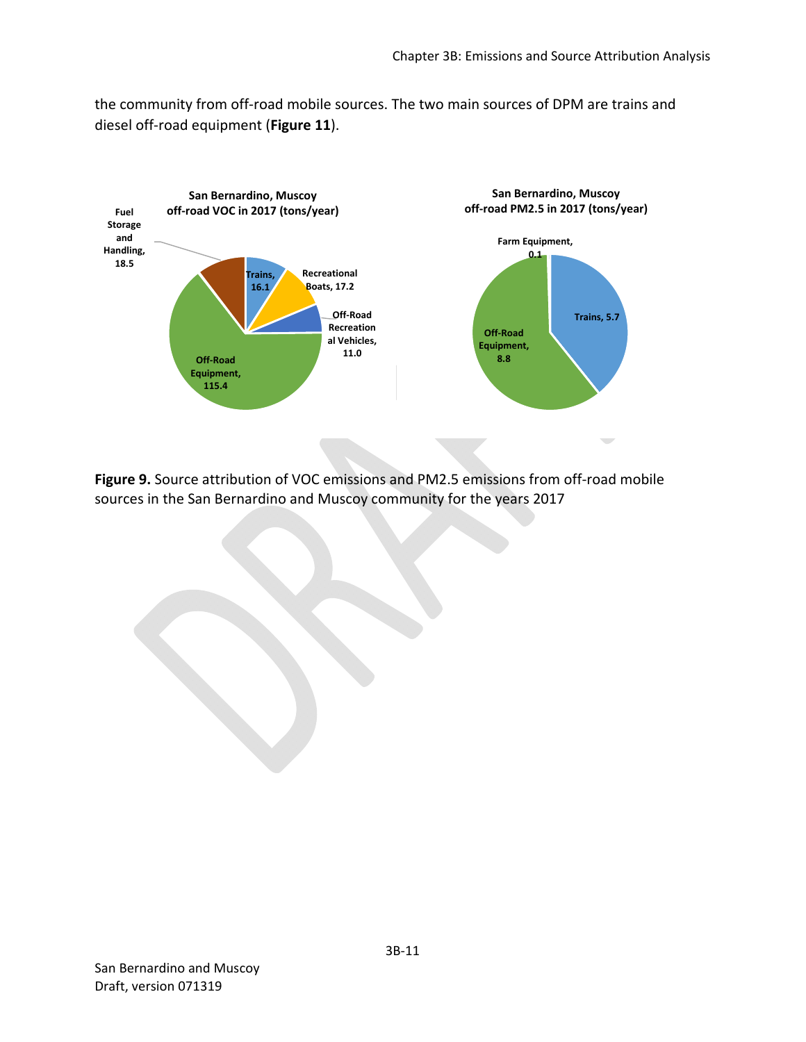the community from off‐road mobile sources. The two main sources of DPM are trains and diesel off‐road equipment (**Figure 11**).



Figure 9. Source attribution of VOC emissions and PM2.5 emissions from off-road mobile sources in the San Bernardino and Muscoy community for the years 2017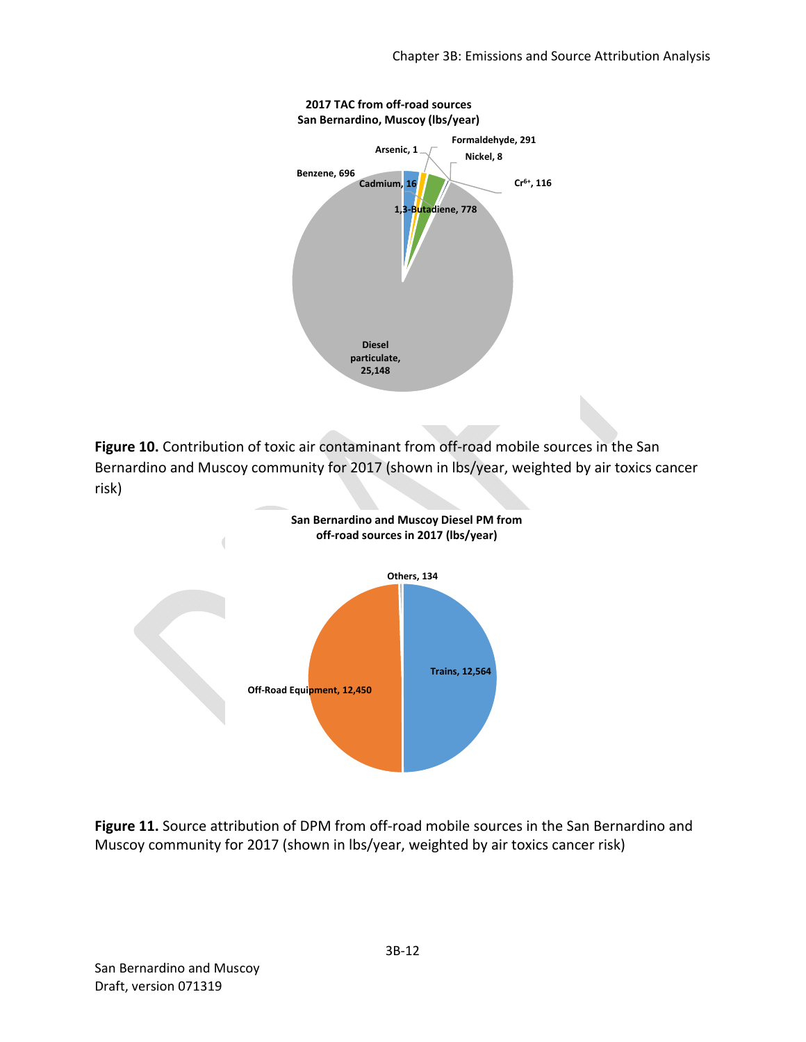

Figure 10. Contribution of toxic air contaminant from off-road mobile sources in the San Bernardino and Muscoy community for 2017 (shown in lbs/year, weighted by air toxics cancer risk)



Figure 11. Source attribution of DPM from off-road mobile sources in the San Bernardino and Muscoy community for 2017 (shown in lbs/year, weighted by air toxics cancer risk)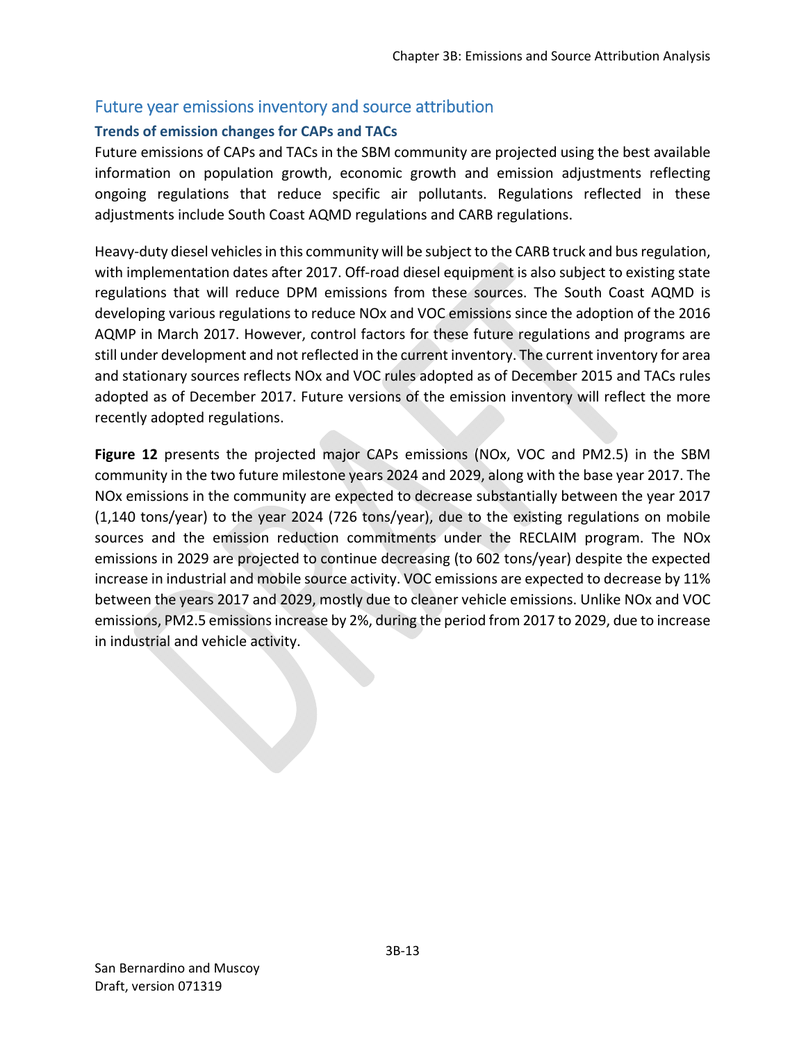# Future year emissions inventory and source attribution

## **Trends of emission changes for CAPs and TACs**

Future emissions of CAPs and TACs in the SBM community are projected using the best available information on population growth, economic growth and emission adjustments reflecting ongoing regulations that reduce specific air pollutants. Regulations reflected in these adjustments include South Coast AQMD regulations and CARB regulations.

Heavy-duty diesel vehicles in this community will be subject to the CARB truck and bus regulation, with implementation dates after 2017. Off-road diesel equipment is also subject to existing state regulations that will reduce DPM emissions from these sources. The South Coast AQMD is developing various regulations to reduce NOx and VOC emissions since the adoption of the 2016 AQMP in March 2017. However, control factors for these future regulations and programs are still under development and not reflected in the current inventory. The current inventory for area and stationary sources reflects NOx and VOC rules adopted as of December 2015 and TACs rules adopted as of December 2017. Future versions of the emission inventory will reflect the more recently adopted regulations.

Figure 12 presents the projected major CAPs emissions (NOx, VOC and PM2.5) in the SBM community in the two future milestone years 2024 and 2029, along with the base year 2017. The NOx emissions in the community are expected to decrease substantially between the year 2017  $(1,140 \text{ tons/year})$  to the year 2024  $(726 \text{ tons/year})$ , due to the existing regulations on mobile sources and the emission reduction commitments under the RECLAIM program. The NO<sub>x</sub> emissions in 2029 are projected to continue decreasing (to 602 tons/year) despite the expected increase in industrial and mobile source activity. VOC emissions are expected to decrease by 11% between the years 2017 and 2029, mostly due to cleaner vehicle emissions. Unlike NOx and VOC emissions, PM2.5 emissions increase by 2%, during the period from 2017 to 2029, due to increase in industrial and vehicle activity.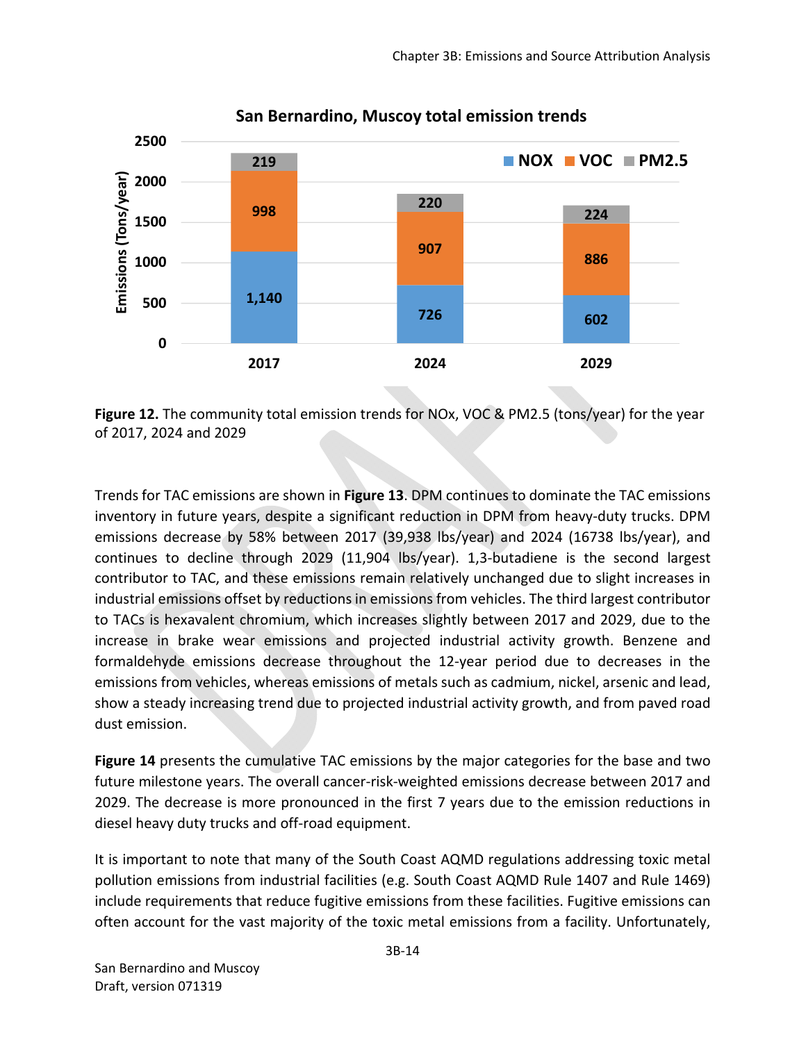

### **San Bernardino, Muscoy total emission trends**

**Figure 12.** The community total emission trends for NOx, VOC & PM2.5 (tons/year) for the year of 2017, 2024 and 2029

Trends for TAC emissions are shown in **Figure 13**. DPM continues to dominate the TAC emissions inventory in future years, despite a significant reduction in DPM from heavy‐duty trucks. DPM emissions decrease by 58% between 2017 (39,938 lbs/year) and 2024 (16738 lbs/year), and continues to decline through 2029 (11,904 lbs/year). 1,3‐butadiene is the second largest contributor to TAC, and these emissions remain relatively unchanged due to slight increases in industrial emissions offset by reductions in emissions from vehicles. The third largest contributor to TACs is hexavalent chromium, which increases slightly between 2017 and 2029, due to the increase in brake wear emissions and projected industrial activity growth. Benzene and formaldehyde emissions decrease throughout the 12‐year period due to decreases in the emissions from vehicles, whereas emissions of metals such as cadmium, nickel, arsenic and lead, show a steady increasing trend due to projected industrial activity growth, and from paved road dust emission.

**Figure 14** presents the cumulative TAC emissions by the major categories for the base and two future milestone years. The overall cancer-risk-weighted emissions decrease between 2017 and 2029. The decrease is more pronounced in the first 7 years due to the emission reductions in diesel heavy duty trucks and off‐road equipment.

It is important to note that many of the South Coast AQMD regulations addressing toxic metal pollution emissions from industrial facilities (e.g. South Coast AQMD Rule 1407 and Rule 1469) include requirements that reduce fugitive emissions from these facilities. Fugitive emissions can often account for the vast majority of the toxic metal emissions from a facility. Unfortunately,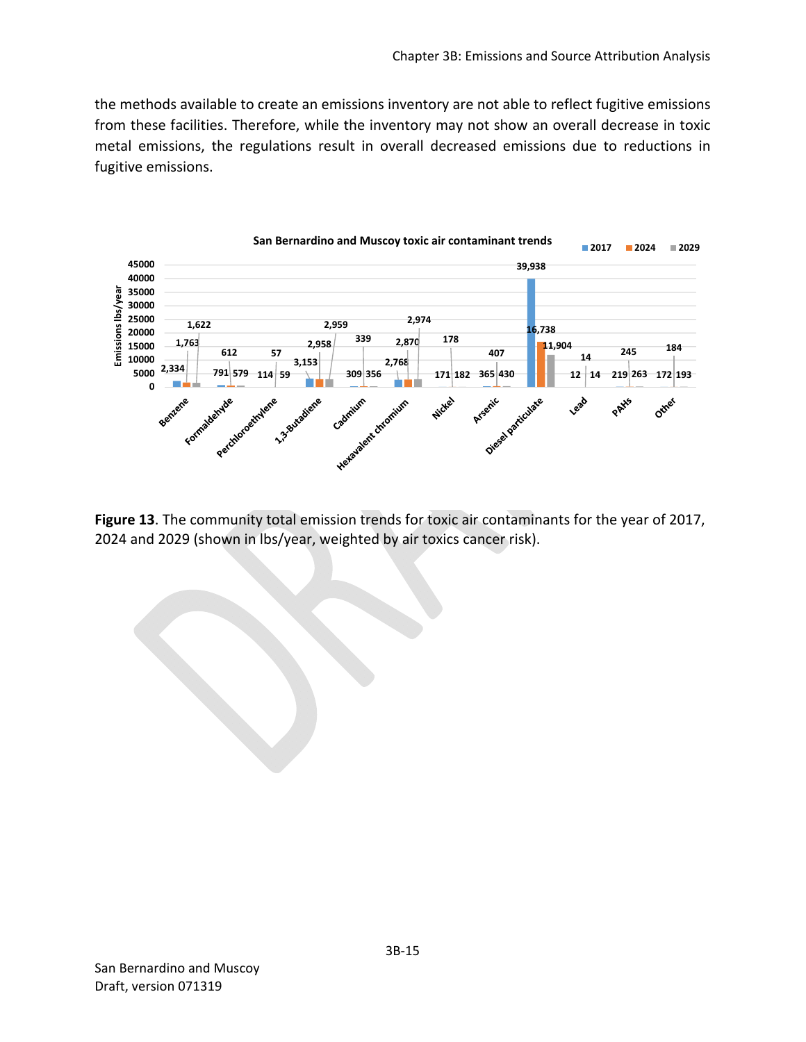the methods available to create an emissions inventory are not able to reflect fugitive emissions from these facilities. Therefore, while the inventory may not show an overall decrease in toxic metal emissions, the regulations result in overall decreased emissions due to reductions in fugitive emissions.



**Figure 13**. The community total emission trends for toxic air contaminants for the year of 2017, 2024 and 2029 (shown in lbs/year, weighted by air toxics cancer risk).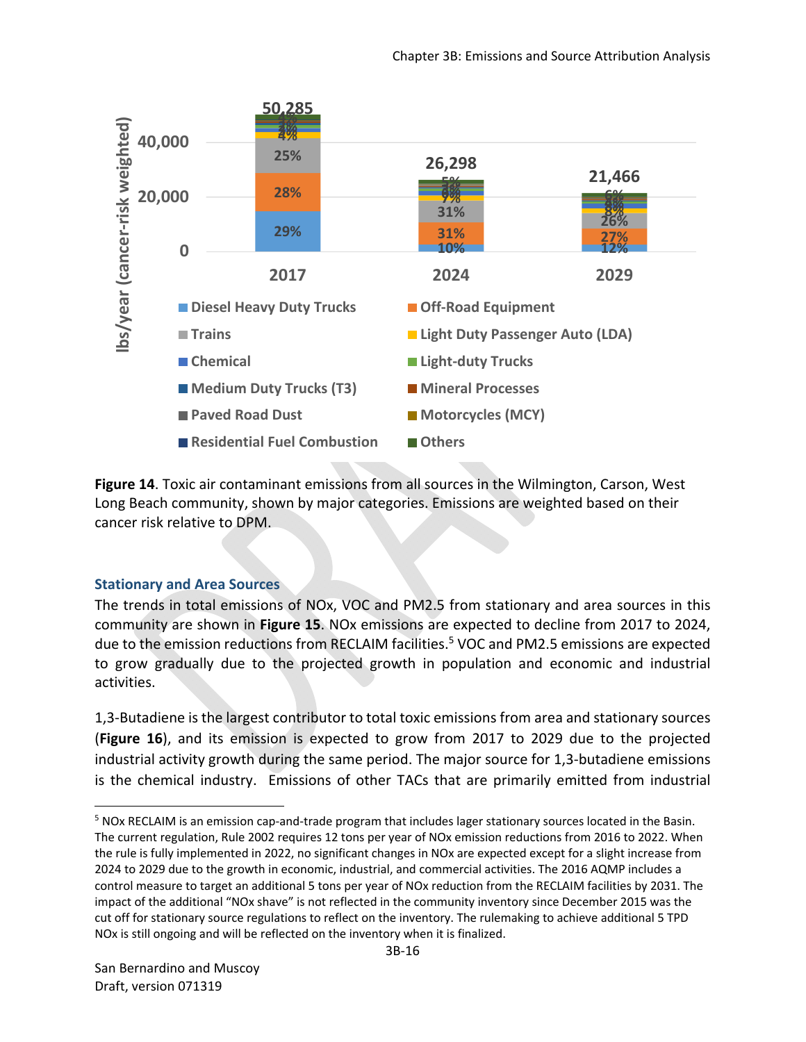

**Figure 14**. Toxic air contaminant emissions from all sources in the Wilmington, Carson, West Long Beach community, shown by major categories. Emissions are weighted based on their cancer risk relative to DPM.

### **Stationary and Area Sources**

The trends in total emissions of NOx, VOC and PM2.5 from stationary and area sources in this community are shown in **Figure 15**. NOx emissions are expected to decline from 2017 to 2024, due to the emission reductions from RECLAIM facilities.<sup>5</sup> VOC and PM2.5 emissions are expected to grow gradually due to the projected growth in population and economic and industrial activities.

1,3‐Butadiene is the largest contributor to total toxic emissions from area and stationary sources (**Figure 16**), and its emission is expected to grow from 2017 to 2029 due to the projected industrial activity growth during the same period. The major source for 1,3‐butadiene emissions is the chemical industry. Emissions of other TACs that are primarily emitted from industrial

<sup>&</sup>lt;sup>5</sup> NOx RECLAIM is an emission cap-and-trade program that includes lager stationary sources located in the Basin. The current regulation, Rule 2002 requires 12 tons per year of NOx emission reductions from 2016 to 2022. When the rule is fully implemented in 2022, no significant changes in NOx are expected except for a slight increase from 2024 to 2029 due to the growth in economic, industrial, and commercial activities. The 2016 AQMP includes a control measure to target an additional 5 tons per year of NOx reduction from the RECLAIM facilities by 2031. The impact of the additional "NOx shave" is not reflected in the community inventory since December 2015 was the cut off for stationary source regulations to reflect on the inventory. The rulemaking to achieve additional 5 TPD NOx is still ongoing and will be reflected on the inventory when it is finalized.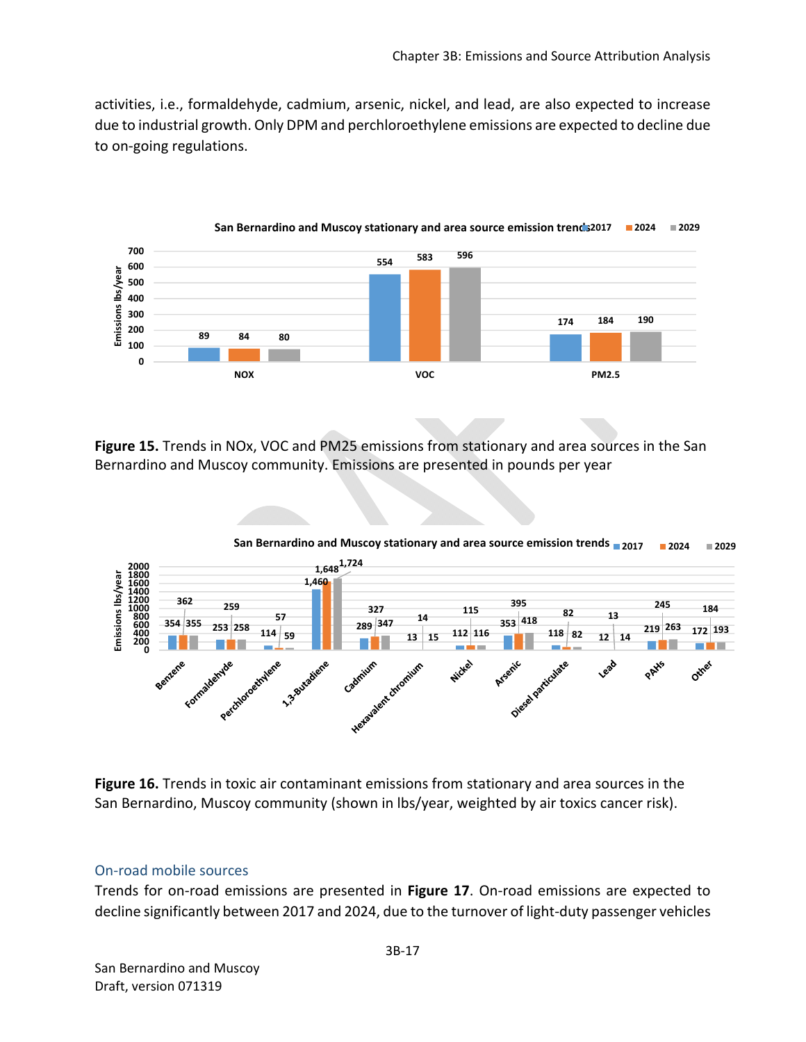activities, i.e., formaldehyde, cadmium, arsenic, nickel, and lead, are also expected to increase due to industrial growth. Only DPM and perchloroethylene emissions are expected to decline due to on‐going regulations.



**Figure 15.** Trends in NOx, VOC and PM25 emissions from stationary and area sources in the San Bernardino and Muscoy community. Emissions are presented in pounds per year



**Figure 16.** Trends in toxic air contaminant emissions from stationary and area sources in the San Bernardino, Muscoy community (shown in lbs/year, weighted by air toxics cancer risk).

#### On‐road mobile sources

Trends for on‐road emissions are presented in **Figure 17**. On‐road emissions are expected to decline significantly between 2017 and 2024, due to the turnover of light‐duty passenger vehicles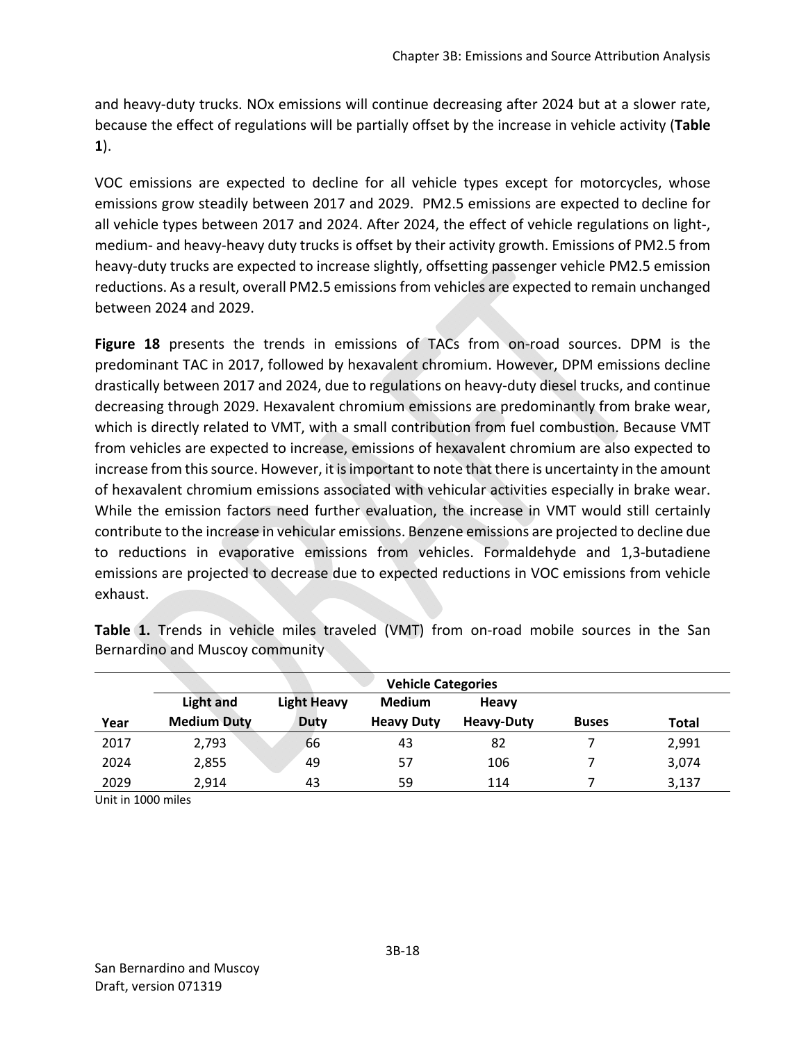and heavy-duty trucks. NOx emissions will continue decreasing after 2024 but at a slower rate, because the effect of regulations will be partially offset by the increase in vehicle activity (**Table 1**).

VOC emissions are expected to decline for all vehicle types except for motorcycles, whose emissions grow steadily between 2017 and 2029. PM2.5 emissions are expected to decline for all vehicle types between 2017 and 2024. After 2024, the effect of vehicle regulations on light‐, medium‐ and heavy‐heavy duty trucks is offset by their activity growth. Emissions of PM2.5 from heavy‐duty trucks are expected to increase slightly, offsetting passenger vehicle PM2.5 emission reductions. As a result, overall PM2.5 emissions from vehicles are expected to remain unchanged between 2024 and 2029.

Figure 18 presents the trends in emissions of TACs from on-road sources. DPM is the predominant TAC in 2017, followed by hexavalent chromium. However, DPM emissions decline drastically between 2017 and 2024, due to regulations on heavy‐duty diesel trucks, and continue decreasing through 2029. Hexavalent chromium emissions are predominantly from brake wear, which is directly related to VMT, with a small contribution from fuel combustion. Because VMT from vehicles are expected to increase, emissions of hexavalent chromium are also expected to increase from this source. However, it is important to note that there is uncertainty in the amount of hexavalent chromium emissions associated with vehicular activities especially in brake wear. While the emission factors need further evaluation, the increase in VMT would still certainly contribute to the increase in vehicular emissions. Benzene emissions are projected to decline due to reductions in evaporative emissions from vehicles. Formaldehyde and 1,3‐butadiene emissions are projected to decrease due to expected reductions in VOC emissions from vehicle exhaust.

|      | <b>Vehicle Categories</b> |                    |                   |                   |              |       |
|------|---------------------------|--------------------|-------------------|-------------------|--------------|-------|
|      | <b>Light and</b>          | <b>Light Heavy</b> | <b>Medium</b>     | Heavy             |              |       |
| Year | <b>Medium Duty</b>        | <b>Duty</b>        | <b>Heavy Duty</b> | <b>Heavy-Duty</b> | <b>Buses</b> | Total |
| 2017 | 2,793                     | 66                 | 43                | 82                |              | 2,991 |
| 2024 | 2,855                     | 49                 | 57                | 106               |              | 3,074 |
| 2029 | 2.914                     | 43                 | 59                | 114               |              | 3,137 |

**Table 1.** Trends in vehicle miles traveled (VMT) from on-road mobile sources in the San Bernardino and Muscoy community

Unit in 1000 miles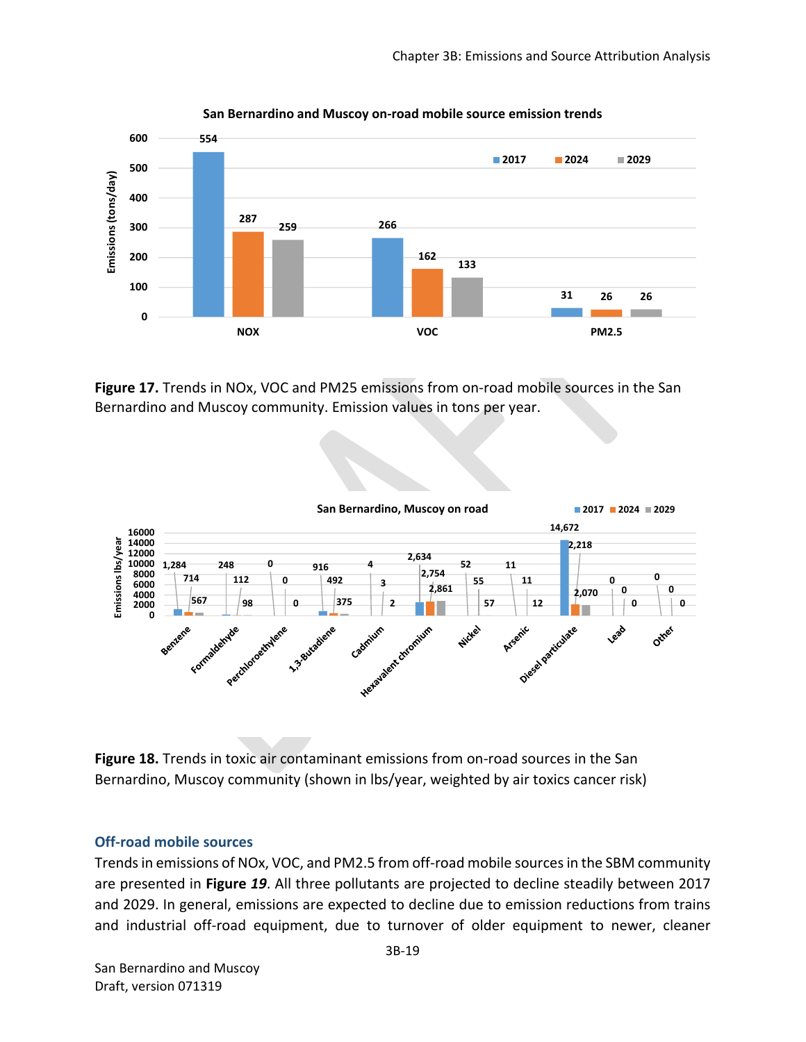

**San Bernardino and Muscoy on‐road mobile source emission trends**

**Figure 17.** Trends in NOx, VOC and PM25 emissions from on-road mobile sources in the San Bernardino and Muscoy community. Emission values in tons per year.



Figure 18. Trends in toxic air contaminant emissions from on-road sources in the San Bernardino, Muscoy community (shown in lbs/year, weighted by air toxics cancer risk)

#### **Off‐road mobile sources**

Trends in emissions of NOx, VOC, and PM2.5 from off‐road mobile sources in the SBM community are presented in **Figure** *19*. All three pollutants are projected to decline steadily between 2017 and 2029. In general, emissions are expected to decline due to emission reductions from trains and industrial off-road equipment, due to turnover of older equipment to newer, cleaner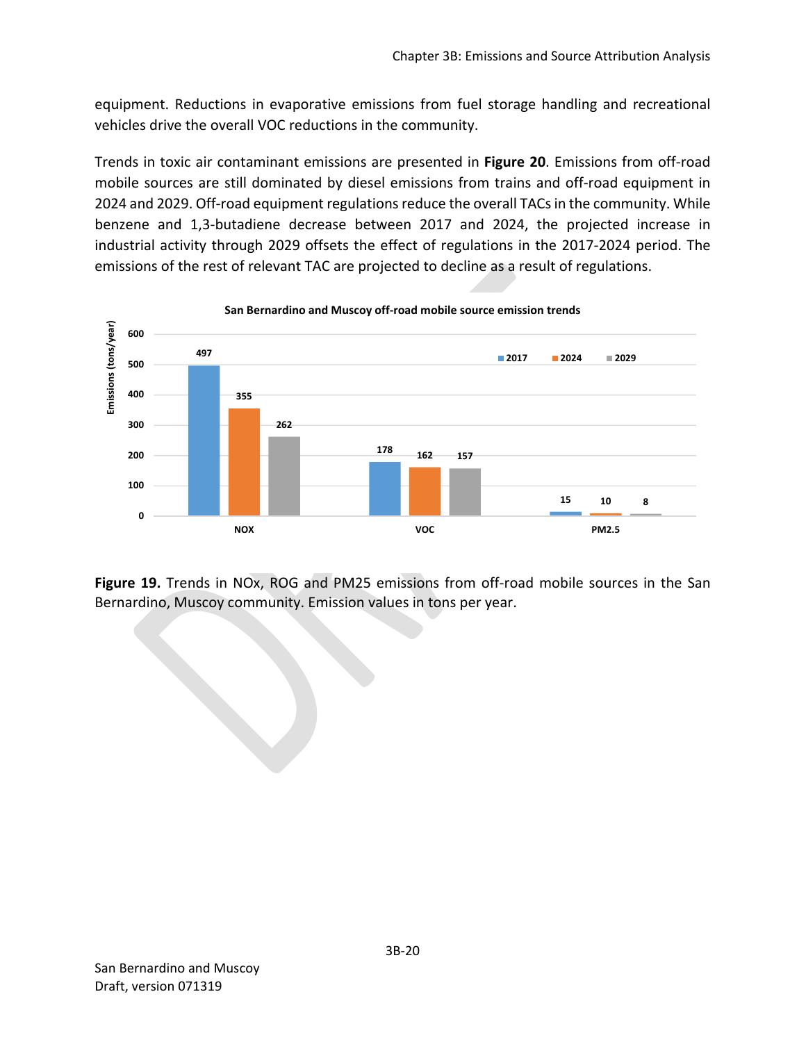equipment. Reductions in evaporative emissions from fuel storage handling and recreational vehicles drive the overall VOC reductions in the community.

Trends in toxic air contaminant emissions are presented in **Figure 20**. Emissions from off‐road mobile sources are still dominated by diesel emissions from trains and off-road equipment in 2024 and 2029. Off‐road equipment regulations reduce the overall TACs in the community. While benzene and 1,3‐butadiene decrease between 2017 and 2024, the projected increase in industrial activity through 2029 offsets the effect of regulations in the 2017‐2024 period. The emissions of the rest of relevant TAC are projected to decline as a result of regulations.



Figure 19. Trends in NOx, ROG and PM25 emissions from off-road mobile sources in the San Bernardino, Muscoy community. Emission values in tons per year.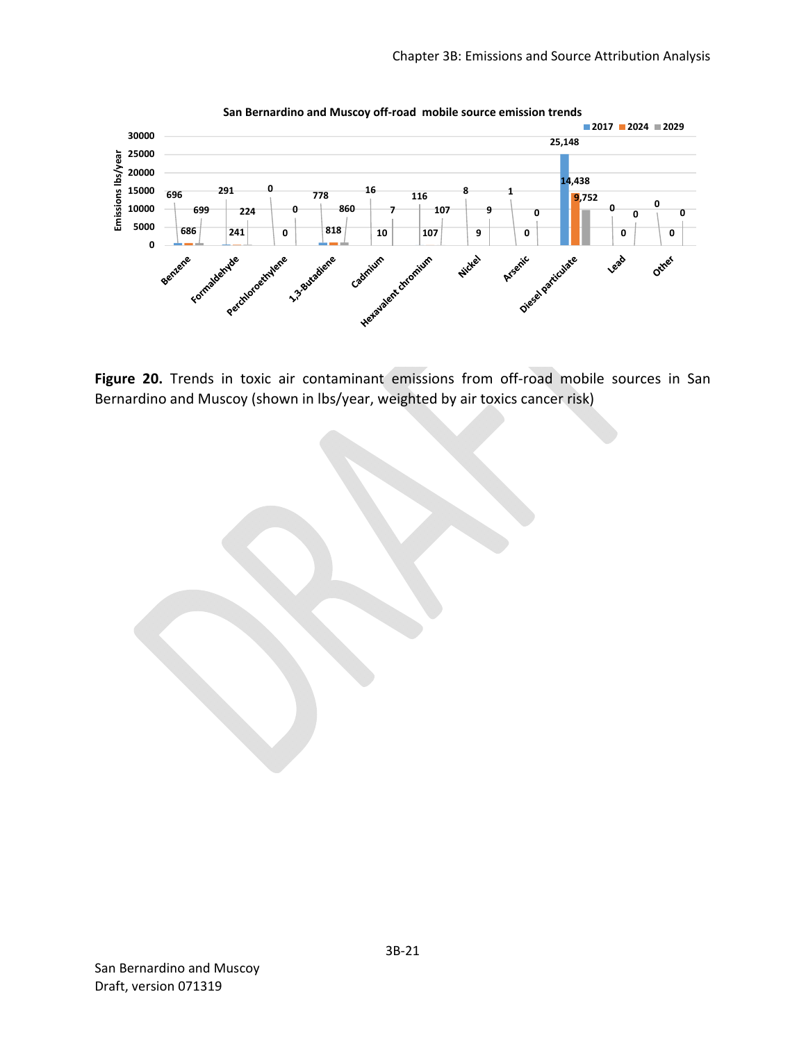

Figure 20. Trends in toxic air contaminant emissions from off-road mobile sources in San Bernardino and Muscoy (shown in lbs/year, weighted by air toxics cancer risk)